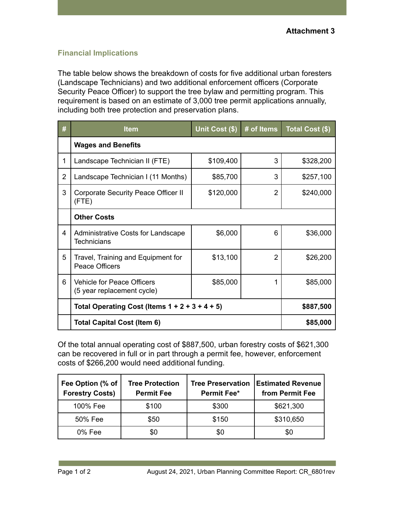## **Financial Implications**

The table below shows the breakdown of costs for five additional urban foresters (Landscape Technicians) and two additional enforcement officers (Corporate Security Peace Officer) to support the tree bylaw and permitting program. This requirement is based on an estimate of 3,000 tree permit applications annually, including both tree protection and preservation plans.

| #              | <b>Item</b>                                                     | Unit Cost (\$) | # of Items | Total Cost (\$) |
|----------------|-----------------------------------------------------------------|----------------|------------|-----------------|
|                | <b>Wages and Benefits</b>                                       |                |            |                 |
| 1              | Landscape Technician II (FTE)                                   | \$109,400      | 3          | \$328,200       |
| $\overline{2}$ | Landscape Technician I (11 Months)                              | \$85,700       | 3          | \$257,100       |
| 3              | Corporate Security Peace Officer II<br>(FTE)                    | \$120,000      | 2          | \$240,000       |
|                | <b>Other Costs</b>                                              |                |            |                 |
| 4              | Administrative Costs for Landscape<br>Technicians               | \$6,000        | 6          | \$36,000        |
| 5              | Travel, Training and Equipment for<br><b>Peace Officers</b>     | \$13,100       | 2          | \$26,200        |
| 6              | <b>Vehicle for Peace Officers</b><br>(5 year replacement cycle) | \$85,000       | 1          | \$85,000        |
|                | Total Operating Cost (Items $1 + 2 + 3 + 4 + 5$ )               |                | \$887,500  |                 |
|                | Total Capital Cost (Item 6)                                     |                |            | \$85,000        |

Of the total annual operating cost of \$887,500, urban forestry costs of \$621,300 can be recovered in full or in part through a permit fee, however, enforcement costs of \$266,200 would need additional funding.

| Fee Option (% of<br><b>Forestry Costs)</b> | <b>Tree Protection</b><br><b>Permit Fee</b> | <b>Tree Preservation</b><br><b>Permit Fee*</b> | <b>Estimated Revenue</b><br>from Permit Fee |
|--------------------------------------------|---------------------------------------------|------------------------------------------------|---------------------------------------------|
| 100% Fee                                   | \$100                                       | \$300                                          | \$621,300                                   |
| 50% Fee                                    | \$50                                        | \$150                                          | \$310,650                                   |
| $0\%$ Fee                                  | \$0                                         | \$0                                            | \$0                                         |